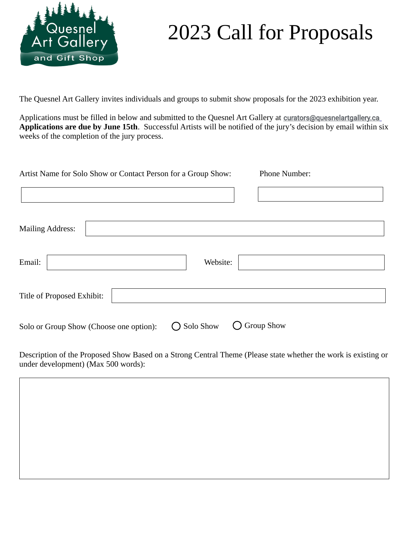

## 2023 Call for Proposals

The Quesnel Art Gallery invites individuals and groups to submit show proposals for the 2023 exhibition year.

Applications must be filled in below and submitted to the Quesnel Art Gallery at curators@quesnelartgallery.ca **Applications are due by June 15th**. Successful Artists will be notified of the jury's decision by email within six weeks of the completion of the jury process.

| Artist Name for Solo Show or Contact Person for a Group Show: |           | Phone Number:     |
|---------------------------------------------------------------|-----------|-------------------|
|                                                               |           |                   |
| <b>Mailing Address:</b>                                       |           |                   |
| Email:                                                        | Website:  |                   |
| Title of Proposed Exhibit:                                    |           |                   |
| Solo or Group Show (Choose one option):                       | Solo Show | <b>Group Show</b> |

Description of the Proposed Show Based on a Strong Central Theme (Please state whether the work is existing or under development) (Max 500 words):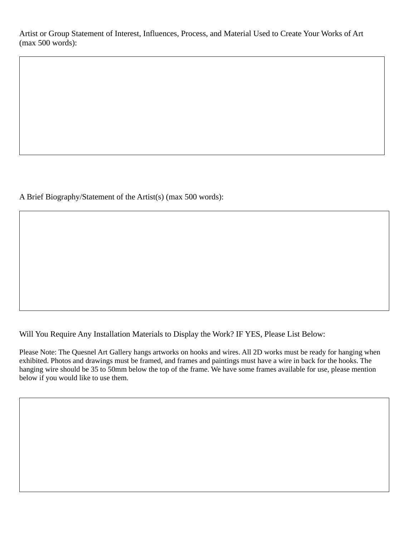Artist or Group Statement of Interest, Influences, Process, and Material Used to Create Your Works of Art (max 500 words):

A Brief Biography/Statement of the Artist(s) (max 500 words):

Will You Require Any Installation Materials to Display the Work? IF YES, Please List Below:

Please Note: The Quesnel Art Gallery hangs artworks on hooks and wires. All 2D works must be ready for hanging when exhibited. Photos and drawings must be framed, and frames and paintings must have a wire in back for the hooks. The hanging wire should be 35 to 50mm below the top of the frame. We have some frames available for use, please mention below if you would like to use them.